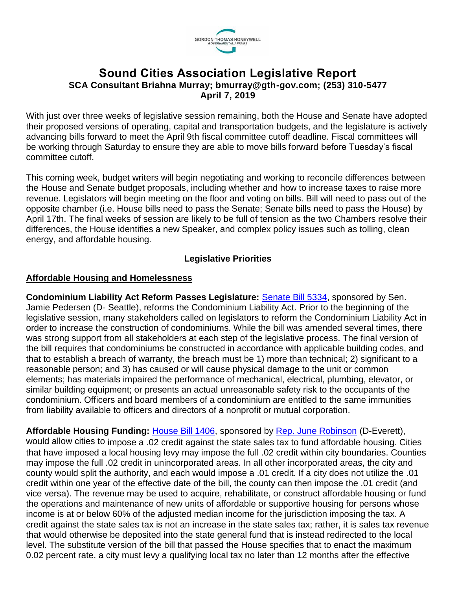

# **Sound Cities Association Legislative Report SCA Consultant Briahna Murray; bmurray@gth-gov.com; (253) 310-5477 April 7, 2019**

With just over three weeks of legislative session remaining, both the House and Senate have adopted their proposed versions of operating, capital and transportation budgets, and the legislature is actively advancing bills forward to meet the April 9th fiscal committee cutoff deadline. Fiscal committees will be working through Saturday to ensure they are able to move bills forward before Tuesday's fiscal committee cutoff.

This coming week, budget writers will begin negotiating and working to reconcile differences between the House and Senate budget proposals, including whether and how to increase taxes to raise more revenue. Legislators will begin meeting on the floor and voting on bills. Bill will need to pass out of the opposite chamber (i.e. House bills need to pass the Senate; Senate bills need to pass the House) by April 17th. The final weeks of session are likely to be full of tension as the two Chambers resolve their differences, the House identifies a new Speaker, and complex policy issues such as tolling, clean energy, and affordable housing.

### **Legislative Priorities**

### **Affordable Housing and Homelessness**

**Condominium Liability Act Reform Passes Legislature:** [Senate Bill 5334,](https://app.leg.wa.gov/billsummary?BillNumber=5334&Initiative=false&Year=2019) sponsored by Sen. Jamie Pedersen (D- Seattle), reforms the Condominium Liability Act. Prior to the beginning of the legislative session, many stakeholders called on legislators to reform the Condominium Liability Act in order to increase the construction of condominiums. While the bill was amended several times, there was strong support from all stakeholders at each step of the legislative process. The final version of the bill requires that condominiums be constructed in accordance with applicable building codes, and that to establish a breach of warranty, the breach must be 1) more than technical; 2) significant to a reasonable person; and 3) has caused or will cause physical damage to the unit or common elements; has materials impaired the performance of mechanical, electrical, plumbing, elevator, or similar building equipment; or presents an actual unreasonable safety risk to the occupants of the condominium. Officers and board members of a condominium are entitled to the same immunities from liability available to officers and directors of a nonprofit or mutual corporation.

Affordable Housing Funding: **House Bill 1406**, sponsored by **Rep. June Robinson** (D-Everett), would allow cities to impose a .02 credit against the state sales tax to fund affordable housing. Cities that have imposed a local housing levy may impose the full .02 credit within city boundaries. Counties may impose the full .02 credit in unincorporated areas. In all other incorporated areas, the city and county would split the authority, and each would impose a .01 credit. If a city does not utilize the .01 credit within one year of the effective date of the bill, the county can then impose the .01 credit (and vice versa). The revenue may be used to acquire, rehabilitate, or construct affordable housing or fund the operations and maintenance of new units of affordable or supportive housing for persons whose income is at or below 60% of the adjusted median income for the jurisdiction imposing the tax. A credit against the state sales tax is not an increase in the state sales tax; rather, it is sales tax revenue that would otherwise be deposited into the state general fund that is instead redirected to the local level. The substitute version of the bill that passed the House specifies that to enact the maximum 0.02 percent rate, a city must levy a qualifying local tax no later than 12 months after the effective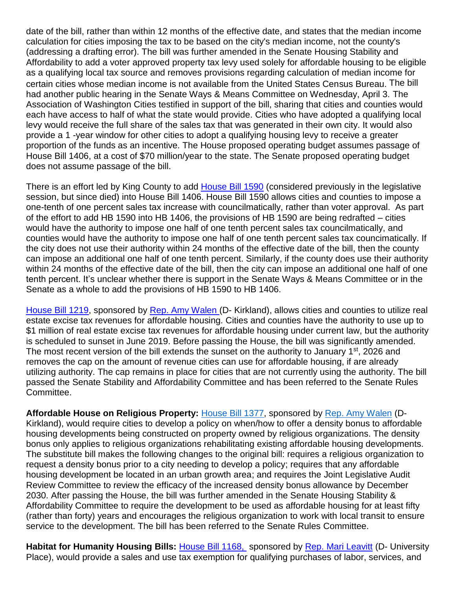date of the bill, rather than within 12 months of the effective date, and states that the median income calculation for cities imposing the tax to be based on the city's median income, not the county's (addressing a drafting error). The bill was further amended in the Senate Housing Stability and Affordability to add a voter approved property tax levy used solely for affordable housing to be eligible as a qualifying local tax source and removes provisions regarding calculation of median income for certain cities whose median income is not available from the United States Census Bureau. The bill had another public hearing in the Senate Ways & Means Committee on Wednesday, April 3. The Association of Washington Cities testified in support of the bill, sharing that cities and counties would each have access to half of what the state would provide. Cities who have adopted a qualifying local levy would receive the full share of the sales tax that was generated in their own city. It would also provide a 1 -year window for other cities to adopt a qualifying housing levy to receive a greater proportion of the funds as an incentive. The House proposed operating budget assumes passage of House Bill 1406, at a cost of \$70 million/year to the state. The Senate proposed operating budget does not assume passage of the bill.

There is an effort led by King County to add [House Bill 1590](https://app.leg.wa.gov/billsummary?BillNumber=1590&Year=2019&Initiative=false) (considered previously in the legislative session, but since died) into House Bill 1406. House Bill 1590 allows cities and counties to impose a one-tenth of one percent sales tax increase with councilmatically, rather than voter approval. As part of the effort to add HB 1590 into HB 1406, the provisions of HB 1590 are being redrafted – cities would have the authority to impose one half of one tenth percent sales tax councilmatically, and counties would have the authority to impose one half of one tenth percent sales tax councimatically. If the city does not use their authority within 24 months of the effective date of the bill, then the county can impose an additional one half of one tenth percent. Similarly, if the county does use their authority within 24 months of the effective date of the bill, then the city can impose an additional one half of one tenth percent. It's unclear whether there is support in the Senate Ways & Means Committee or in the Senate as a whole to add the provisions of HB 1590 to HB 1406.

[House Bill 1219,](https://app.leg.wa.gov/billsummary?BillNumber=1219&Chamber=House&Year=2019) sponsored by [Rep. Amy Walen](https://housedemocrats.wa.gov/walen/) (D- Kirkland), allows cities and counties to utilize real estate excise tax revenues for affordable housing. Cities and counties have the authority to use up to \$1 million of real estate excise tax revenues for affordable housing under current law, but the authority is scheduled to sunset in June 2019. Before passing the House, the bill was significantly amended. The most recent version of the bill extends the sunset on the authority to January  $1<sup>st</sup>$ , 2026 and removes the cap on the amount of revenue cities can use for affordable housing, if are already utilizing authority. The cap remains in place for cities that are not currently using the authority. The bill passed the Senate Stability and Affordability Committee and has been referred to the Senate Rules Committee.

**Affordable House on Religious Property:** [House Bill 1377,](https://app.leg.wa.gov/billsummary?BillNumber=1377&Initiative=false&Year=2019) sponsored by [Rep. Amy Walen](https://housedemocrats.wa.gov/walen/) (D-Kirkland), would require cities to develop a policy on when/how to offer a density bonus to affordable housing developments being constructed on property owned by religious organizations. The density bonus only applies to religious organizations rehabilitating existing affordable housing developments. The substitute bill makes the following changes to the original bill: requires a religious organization to request a density bonus prior to a city needing to develop a policy; requires that any affordable housing development be located in an urban growth area; and requires the Joint Legislative Audit Review Committee to review the efficacy of the increased density bonus allowance by December 2030. After passing the House, the bill was further amended in the Senate Housing Stability & Affordability Committee to require the development to be used as affordable housing for at least fifty (rather than forty) years and encourages the religious organization to work with local transit to ensure service to the development. The bill has been referred to the Senate Rules Committee.

Habitat for Humanity Housing Bills: House Bill 1168, sponsored by [Rep. Mari Leavitt](http://housedemocrats.wa.gov/legislators/Leavitt/) (D- University Place), would provide a sales and use tax exemption for qualifying purchases of labor, services, and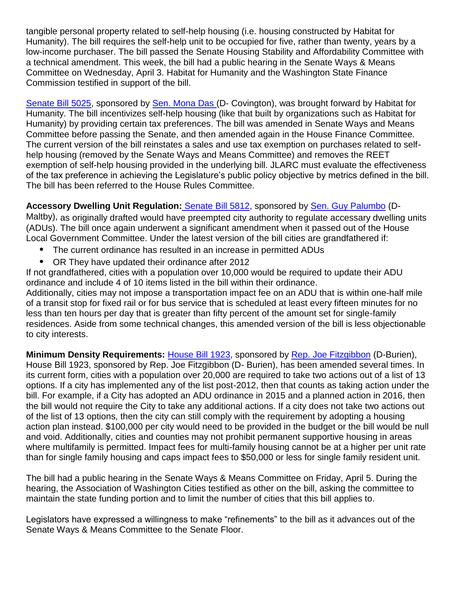tangible personal property related to self-help housing (i.e. housing constructed by Habitat for Humanity). The bill requires the self-help unit to be occupied for five, rather than twenty, years by a low-income purchaser. The bill passed the Senate Housing Stability and Affordability Committee with a technical amendment. This week, the bill had a public hearing in the Senate Ways & Means Committee on Wednesday, April 3. Habitat for Humanity and the Washington State Finance Commission testified in support of the bill.

[Senate Bill 5025,](https://app.leg.wa.gov/billsummary?BillNumber=5025&Initiative=false&Year=2019) sponsored by [Sen. Mona Das](http://sdc.wastateleg.org/das/) (D- Covington), was brought forward by Habitat for Humanity. The bill incentivizes self-help housing (like that built by organizations such as Habitat for Humanity) by providing certain tax preferences. The bill was amended in Senate Ways and Means Committee before passing the Senate, and then amended again in the House Finance Committee. The current version of the bill reinstates a sales and use tax exemption on purchases related to selfhelp housing (removed by the Senate Ways and Means Committee) and removes the REET exemption of self-help housing provided in the underlying bill. JLARC must evaluate the effectiveness of the tax preference in achieving the Legislature's public policy objective by metrics defined in the bill. The bill has been referred to the House Rules Committee.

## **Accessory Dwelling Unit Regulation:** [Senate Bill 5812,](https://app.leg.wa.gov/billsummary?BillNumber=5812&Initiative=false&Year=2019) sponsored by [Sen. Guy Palumbo](http://leg.wa.gov/senate/senators/pages/default.aspx#palumbo) (D-

Maltby), as originally drafted would have preempted city authority to regulate accessary dwelling units (ADUs). The bill once again underwent a significant amendment when it passed out of the House Local Government Committee. Under the latest version of the bill cities are grandfathered if:

- The current ordinance has resulted in an increase in permitted ADUs
- OR They have updated their ordinance after 2012

If not grandfathered, cities with a population over 10,000 would be required to update their ADU ordinance and include 4 of 10 items listed in the bill within their ordinance.

Additionally, cities may not impose a transportation impact fee on an ADU that is within one-half mile of a transit stop for fixed rail or for bus service that is scheduled at least every fifteen minutes for no less than ten hours per day that is greater than fifty percent of the amount set for single-family residences. Aside from some technical changes, this amended version of the bill is less objectionable to city interests.

**Minimum Density Requirements:** [House Bill 1923,](https://app.leg.wa.gov/billsummary?BillNumber=1923&Year=2019&Initiative=false) sponsored by [Rep. Joe Fitzgibbon](http://leg.wa.gov/house/representatives/pages/default.aspx#fitzgibbon) (D-Burien), House Bill 1923, sponsored by Rep. Joe Fitzgibbon (D- Burien), has been amended several times. In its current form, cities with a population over 20,000 are required to take two actions out of a list of 13 options. If a city has implemented any of the list post-2012, then that counts as taking action under the bill. For example, if a City has adopted an ADU ordinance in 2015 and a planned action in 2016, then the bill would not require the City to take any additional actions. If a city does not take two actions out of the list of 13 options, then the city can still comply with the requirement by adopting a housing action plan instead. \$100,000 per city would need to be provided in the budget or the bill would be null and void. Additionally, cities and counties may not prohibit permanent supportive housing in areas where multifamily is permitted. Impact fees for multi-family housing cannot be at a higher per unit rate than for single family housing and caps impact fees to \$50,000 or less for single family resident unit.

The bill had a public hearing in the Senate Ways & Means Committee on Friday, April 5. During the hearing, the Association of Washington Cities testified as other on the bill, asking the committee to maintain the state funding portion and to limit the number of cities that this bill applies to.

Legislators have expressed a willingness to make "refinements" to the bill as it advances out of the Senate Ways & Means Committee to the Senate Floor.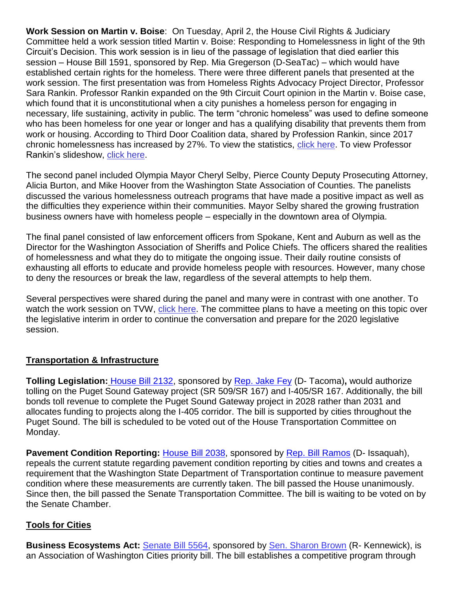**Work Session on Martin v. Boise**: On Tuesday, April 2, the House Civil Rights & Judiciary Committee held a work session titled Martin v. Boise: Responding to Homelessness in light of the 9th Circuit's Decision. This work session is in lieu of the passage of legislation that died earlier this session – [House Bill 1591,](https://app.leg.wa.gov/billsummary?BillNumber=1591&Year=2019&Initiative=false) sponsored by [Rep. Mia Gregerson](http://leg.wa.gov/house/representatives/pages/default.aspx#gregerson) (D-SeaTac) – which would have established certain rights for the homeless. There were three different panels that presented at the work session. The first presentation was from Homeless Rights Advocacy Project Director, Professor Sara Rankin. Professor Rankin expanded on the 9th Circuit Court opinion in the Martin v. Boise case, which found that it is unconstitutional when a city punishes a homeless person for engaging in necessary, life sustaining, activity in public. The term "chronic homeless" was used to define someone who has been homeless for one year or longer and has a qualifying disability that prevents them from work or housing. According to Third Door Coalition data, shared by Profession Rankin, since 2017 chronic homelessness has increased by 27%. To view the statistics, [click here.](https://app.leg.wa.gov/committeeschedules/Home/Document/204005#toolbar=0&navpanes=0) To view Professor Rankin's slideshow, [click here.](https://app.leg.wa.gov/committeeschedules/Home/Document/204012#toolbar=0&navpanes=0)

The second panel included Olympia Mayor Cheryl Selby, Pierce County Deputy Prosecuting Attorney, Alicia Burton, and Mike Hoover from the Washington State Association of Counties. The panelists discussed the various homelessness outreach programs that have made a positive impact as well as the difficulties they experience within their communities. Mayor Selby shared the growing frustration business owners have with homeless people – especially in the downtown area of Olympia.

The final panel consisted of law enforcement officers from Spokane, Kent and Auburn as well as the Director for the Washington Association of Sheriffs and Police Chiefs. The officers shared the realities of homelessness and what they do to mitigate the ongoing issue. Their daily routine consists of exhausting all efforts to educate and provide homeless people with resources. However, many chose to deny the resources or break the law, regardless of the several attempts to help them.

Several perspectives were shared during the panel and many were in contrast with one another. To watch the work session on TVW, [click here.](https://www.tvw.org/watch/?eventID=2019041060) The committee plans to have a meeting on this topic over the legislative interim in order to continue the conversation and prepare for the 2020 legislative session.

### **Transportation & Infrastructure**

**Tolling Legislation:** [House Bill 2132,](https://app.leg.wa.gov/billsummary?BillNumber=2132&Initiative=false&Year=2019) sponsored by [Rep. Jake Fey](https://housedemocrats.wa.gov/fey/) (D- Tacoma)**,** would authorize tolling on the Puget Sound Gateway project (SR 509/SR 167) and I-405/SR 167. Additionally, the bill bonds toll revenue to complete the Puget Sound Gateway project in 2028 rather than 2031 and allocates funding to projects along the I-405 corridor. The bill is supported by cities throughout the Puget Sound. The bill is scheduled to be voted out of the House Transportation Committee on Monday.

**Pavement Condition Reporting:** [House Bill 2038,](https://app.leg.wa.gov/billsummary?BillNumber=2038&Initiative=false&Year=2019) sponsored by [Rep. Bill Ramos](https://housedemocrats.wa.gov/ramos/) (D- Issaquah), repeals the current statute regarding pavement condition reporting by cities and towns and creates a requirement that the Washington State Department of Transportation continue to measure pavement condition where these measurements are currently taken. The bill passed the House unanimously. Since then, the bill passed the Senate Transportation Committee. The bill is waiting to be voted on by the Senate Chamber.

### **Tools for Cities**

**Business Ecosystems Act:** [Senate Bill 5564,](https://app.leg.wa.gov/billsummary?BillNumber=5564&Initiative=false&Year=2019) sponsored by [Sen. Sharon Brown](http://sharonbrown.src.wastateleg.org/) (R- Kennewick), is an Association of Washington Cities priority bill. The bill establishes a competitive program through